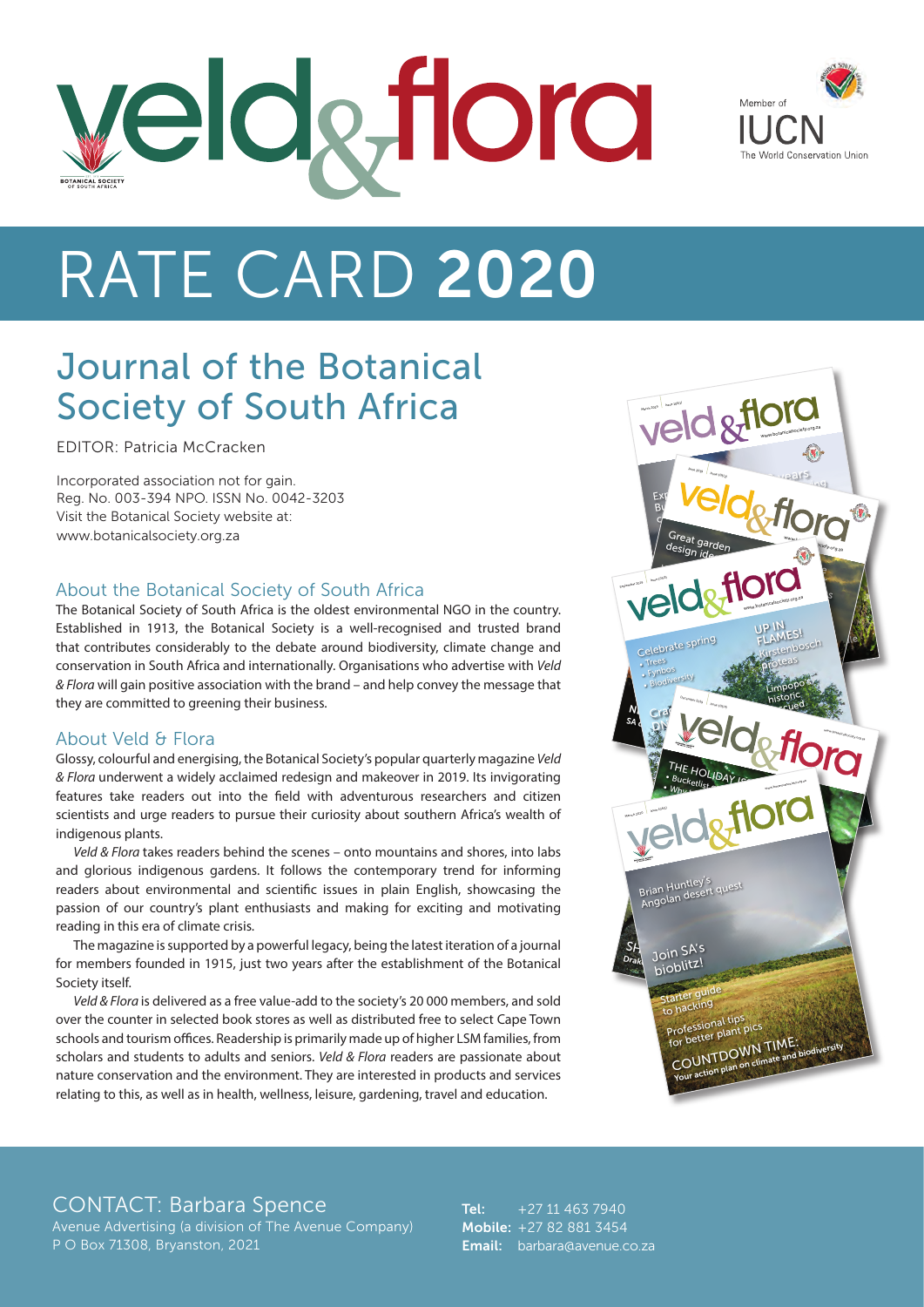



# RATE CARD 2020

# Journal of the Botanical Society of South Africa

EDITOR: Patricia McCracken

Incorporated association not for gain. Reg. No. 003-394 NPO. ISSN No. 0042-3203 Visit the Botanical Society website at: www.botanicalsociety.org.za

#### About the Botanical Society of South Africa

The Botanical Society of South Africa is the oldest environmental NGO in the country. Established in 1913, the Botanical Society is a well-recognised and trusted brand that contributes considerably to the debate around biodiversity, climate change and conservation in South Africa and internationally. Organisations who advertise with *Veld & Flora* will gain positive association with the brand – and help convey the message that they are committed to greening their business.

#### About Veld & Flora

Glossy, colourful and energising, the Botanical Society's popular quarterly magazine *Veld & Flora* underwent a widely acclaimed redesign and makeover in 2019. Its invigorating features take readers out into the field with adventurous researchers and citizen scientists and urge readers to pursue their curiosity about southern Africa's wealth of indigenous plants.

*Veld & Flora* takes readers behind the scenes – onto mountains and shores, into labs and glorious indigenous gardens. It follows the contemporary trend for informing readers about environmental and scientific issues in plain English, showcasing the passion of our country's plant enthusiasts and making for exciting and motivating reading in this era of climate crisis.

The magazine is supported by a powerful legacy, being the latest iteration of a journal for members founded in 1915, just two years after the establishment of the Botanical Society itself.

*Veld & Flora* is delivered as a free value-add to the society's 20 000 members, and sold over the counter in selected book stores as well as distributed free to select Cape Town schools and tourism offices. Readership is primarily made up of higher LSM families, from scholars and students to adults and seniors. *Veld & Flora* readers are passionate about nature conservation and the environment. They are interested in products and services relating to this, as well as in health, wellness, leisure, gardening, travel and education.



### CONTACT: Barbara Spence

Avenue Advertising (a division of The Avenue Company) P O Box 71308, Bryanston, 2021

Tel: +27 11 463 7940 Mobile: +27 82 881 3454 Email: barbara@avenue.co.za